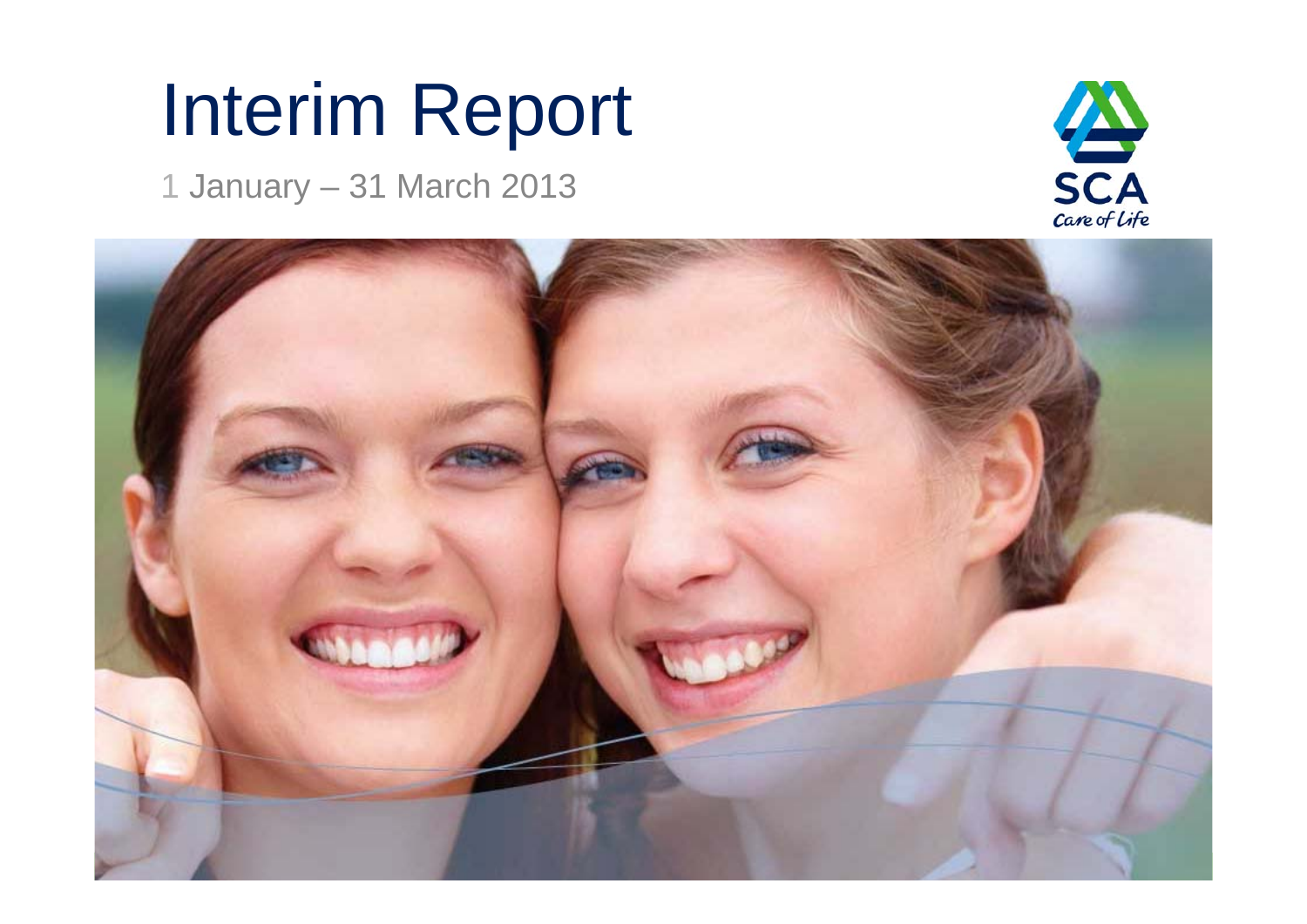# Interim Report

1 January – 31 March 2013



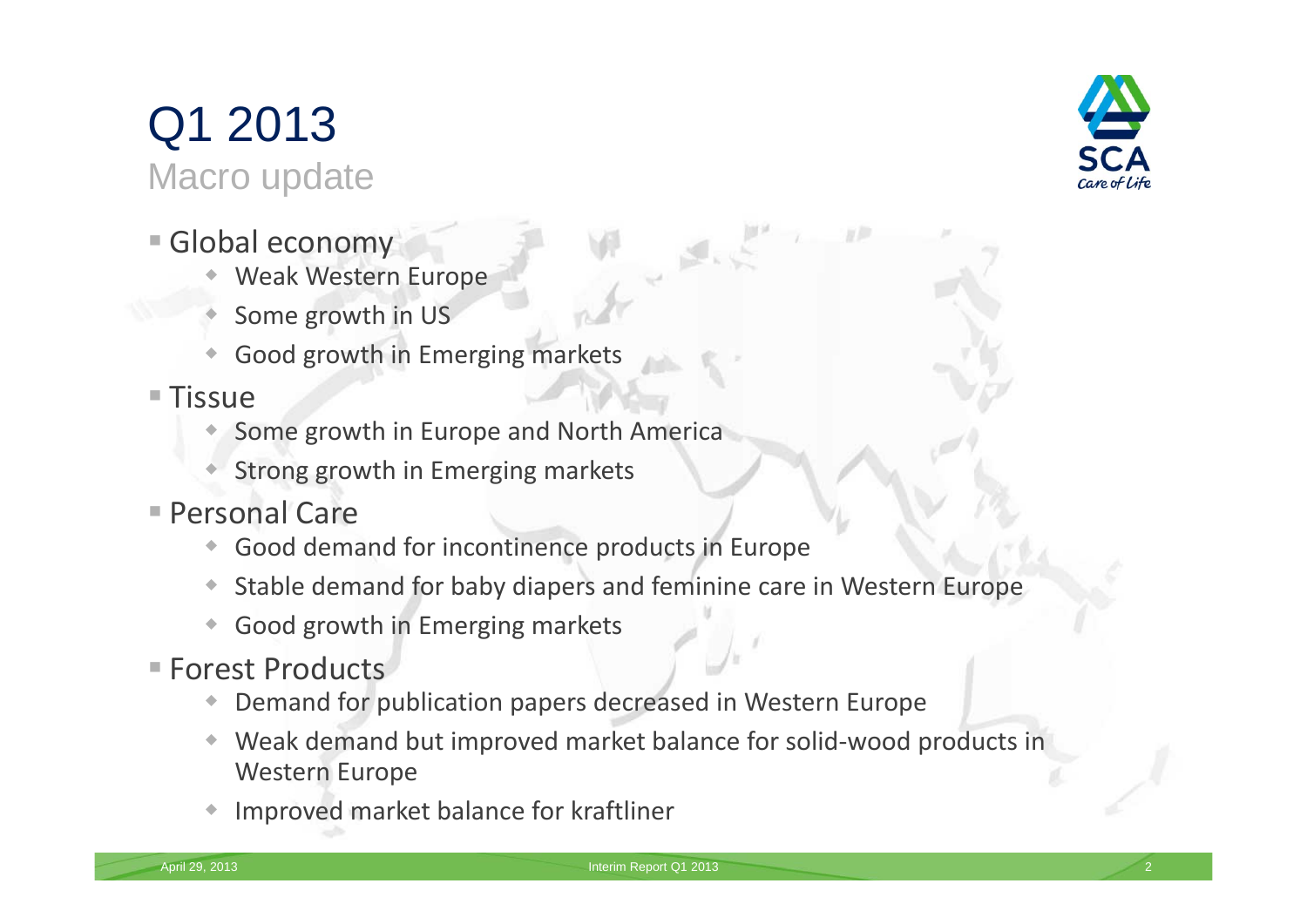## Q1 2013 Macro update

- Global economy
	- $\blacklozenge$ Weak Western Europe
	- ۰ Some growth in US
	- $\blacklozenge$ Good growth in Emerging markets
- $\blacksquare$  Tissue
	- ◆ Some growth in Europe and North America
	- ۰ Strong growth in Emerging markets
- Personal Care
	- $\blacklozenge$ Good demand for incontinence products in Europe
	- Stable demand for baby diapers and feminine care in Western Europe
	- $\ddot{\bullet}$ Good growth in Emerging markets
- Forest Products
	- ۰ Demand for publication papers decreased in Western Europe
	- ◆ Weak demand but improved market balance for solid-wood products in Western Europe
	- $\ddot{\bullet}$ Improved market balance for kraftliner

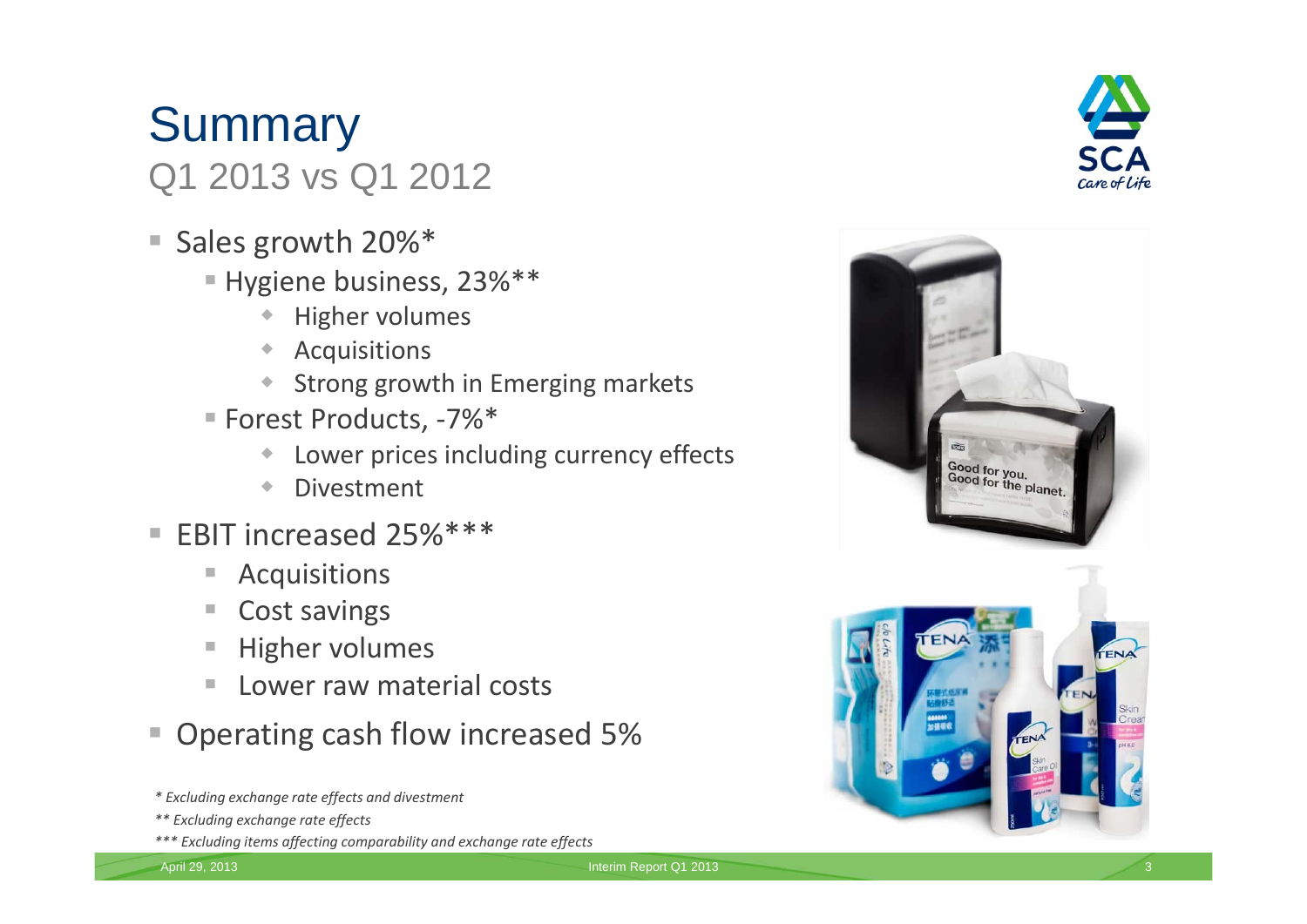#### April 29, 2013

### **Summary** Q1 2013 vs Q1 2012

- Sales growth 20%\*
	- Hygiene business, 23%\*\*
		- **+** Higher volumes
		- Acquisitions
		- Strong growth in Emerging markets
	- Forest Products, -7%\*
		- $\blacklozenge$ Lower prices including currency effects
		- $\blacklozenge$ Divestment
- EBIT increased 25%\*\*\*
	- $\mathcal{L}_{\mathcal{A}}$ Acquisitions
	- $\mathcal{L}_{\mathcal{A}}$ Cost savings
	- Г Higher volumes
	- Г **Lower raw material costs**
- **Operating cash flow increased 5%**
- *\* Excluding exchange rate effects and divestment*
- *\*\* Excluding exchange rate effects*
- *\*\*\* Excluding items affecting comparability and exchange rate effects*





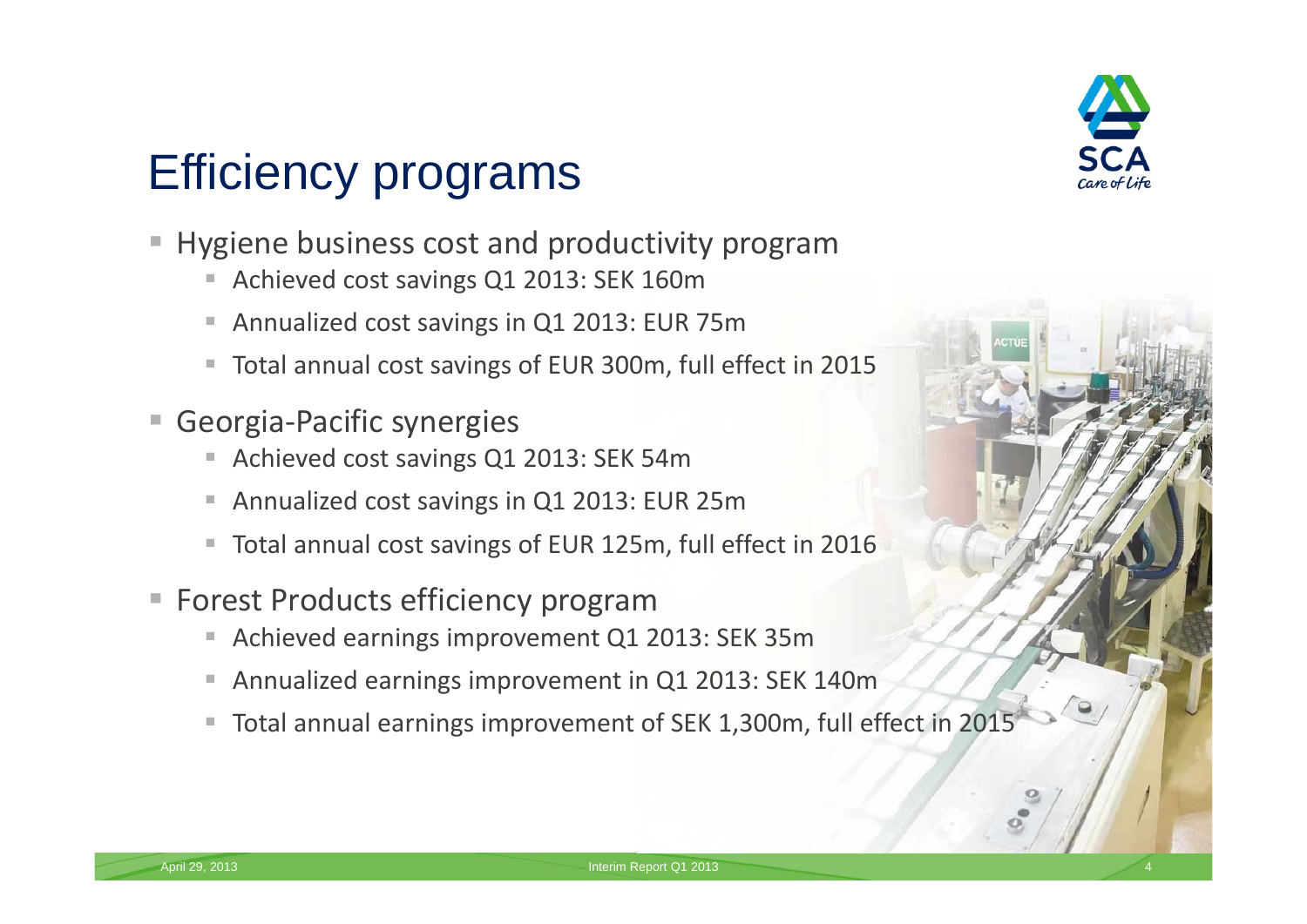## Efficiency programs

- **Hygiene business cost and productivity program** 
	- Achieved cost savings Q1 2013: SEK 160m
	- Annualized cost savings in Q1 2013: EUR 75m
	- Total annual cost savings of EUR 300m, full effect in 2015
- Georgia-Pacific synergies
	- Achieved cost savings Q1 2013: SEK 54m
	- Annualized cost savings in Q1 2013: EUR 25m
	- $\mathcal{L}_{\mathcal{A}}$ Total annual cost savings of EUR 125m, full effect in 2016
- **Forest Products efficiency program** 
	- Achieved earnings improvement Q1 2013: SEK 35m
	- Annualized earnings improvement in Q1 2013: SEK 140m
	- Total annual earnings improvement of SEK 1,300m, full effect in 2015

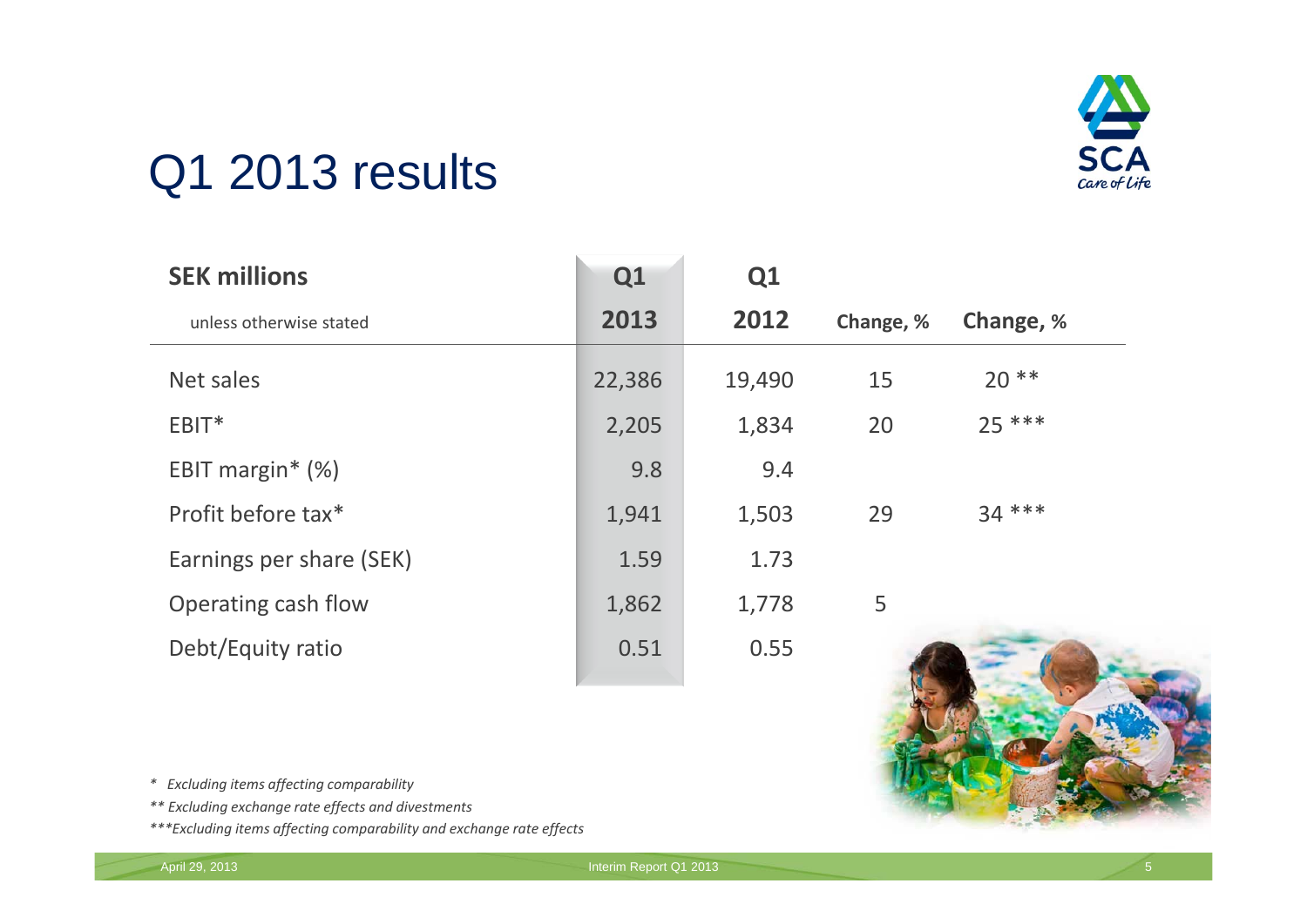

## Q1 2013 results

| <b>SEK millions</b>      | Q1     | Q1     |           |           |
|--------------------------|--------|--------|-----------|-----------|
| unless otherwise stated  | 2013   | 2012   | Change, % | Change, % |
| Net sales                | 22,386 | 19,490 | 15        | $20**$    |
| EBIT*                    | 2,205  | 1,834  | 20        | $25***$   |
| EBIT margin* (%)         | 9.8    | 9.4    |           |           |
| Profit before tax*       | 1,941  | 1,503  | 29        | $34***$   |
| Earnings per share (SEK) | 1.59   | 1.73   |           |           |
| Operating cash flow      | 1,862  | 1,778  | 5         |           |
| Debt/Equity ratio        | 0.51   | 0.55   |           |           |

*\* Excluding items affecting comparability*

- *\*\* Excluding exchange rate effects and divestments*
- *\*\*\*Excluding items affecting comparability and exchange rate effects*

**Interim Report Q1 2013** 5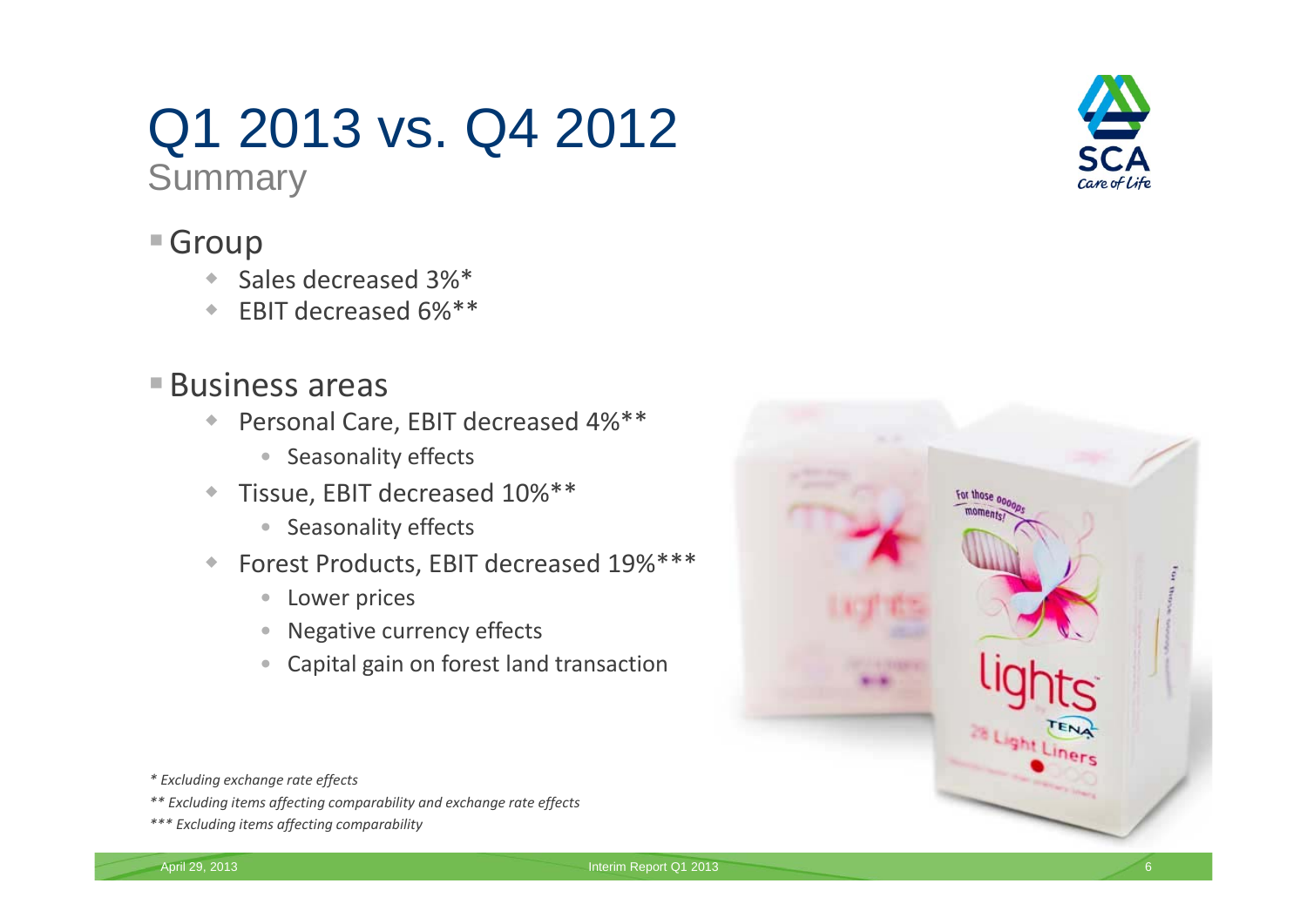## Q1 2013 vs. Q4 2012 **Summary**



### ■ Group

- Sales decreased 3%\*
- EBIT decreased 6%\*\*
- Business areas
	- $\blacklozenge$  Personal Care, EBIT decreased 4%\*\*
		- Seasonality effects
	- ٠ Tissue, EBIT decreased 10%\*\*
		- Seasonality effects
	- ۰ Forest Products, EBIT decreased 19%\*\*\*
		- Lower prices
		- Negative currency effects
		- Capital gain on forest land transaction



- *\*\* Excluding items affecting comparability and exchange rate effects*
- *\*\*\* Excluding items affecting comparability*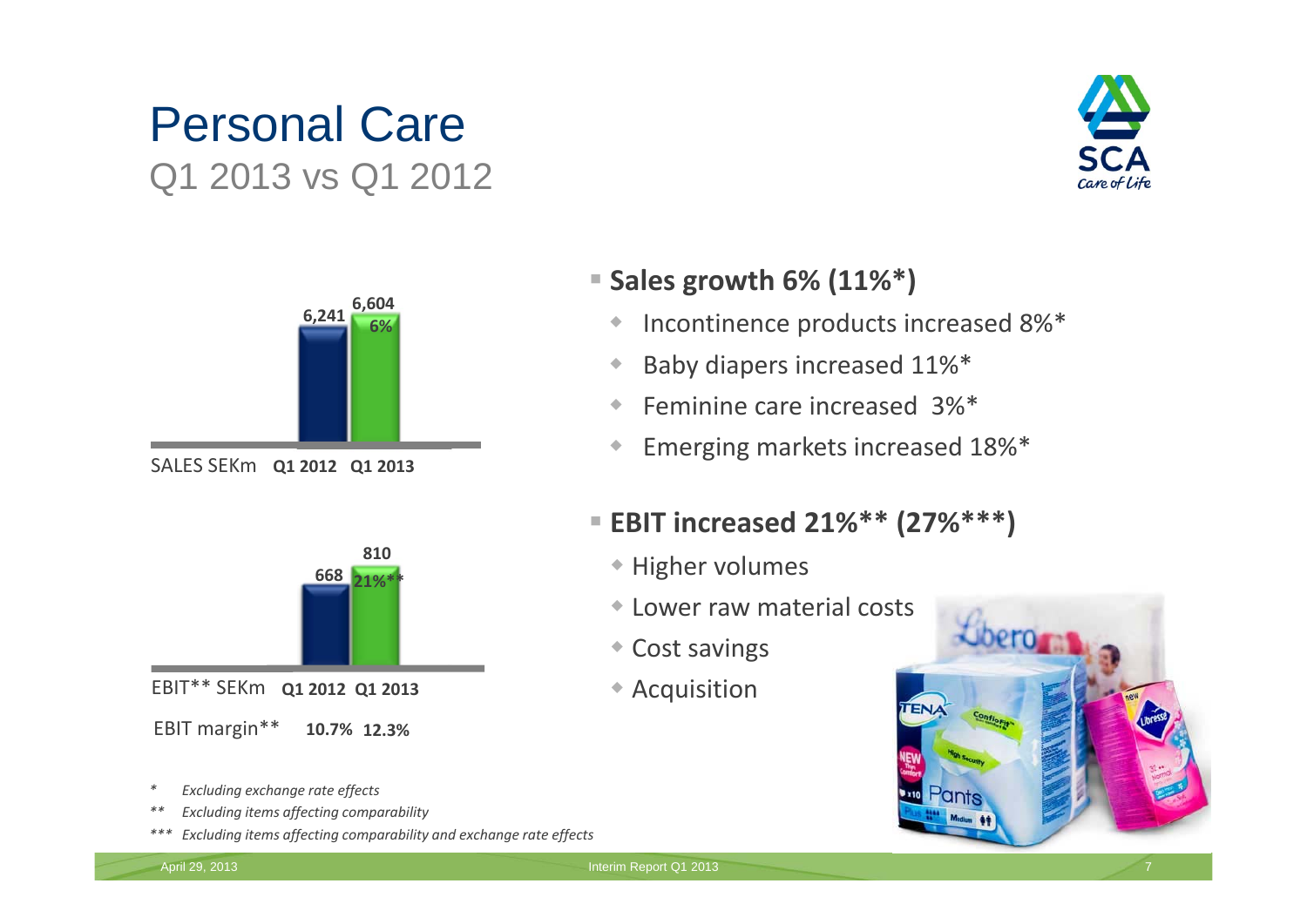## Personal Care Q1 2013 vs Q1 2012





**Q1 2012 Q1 2013** SALES SEKm



EBIT\*\* SEKm **Q1 2012 Q1 2013**

EBIT margin\*\* **10.7% 12.3%**

- *\* Excluding exchange rate effects*
- *\*\* Excluding items affecting comparability*
- *\*\*\* Excluding items affecting comparability and exchange rate effects*

#### **Sales growth 6% (11%\*)**

- ۰ Incontinence products increased 8%\*
- ۰ Baby diapers increased 11%\*
- $\bullet$ Feminine care increased 3%\*
- ۰ Emerging markets increased 18%\*

#### **EBIT increased 21%\*\* (27%\*\*\*)**

- Higher volumes
- Lower raw material costs
- Cost savings
- Acquisition

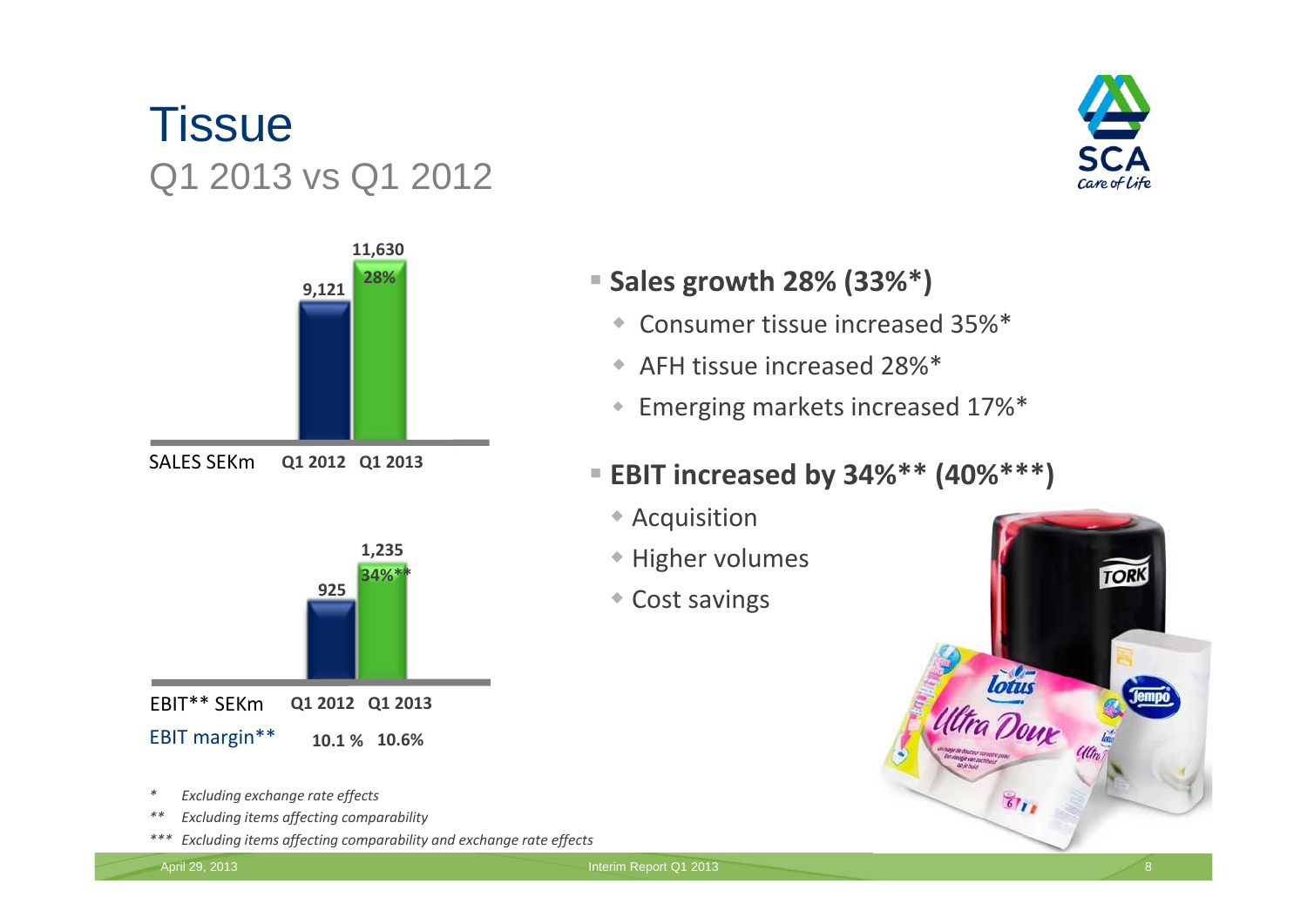## **Tissue** Q1 2013 vs Q1 2012



SALES SEKm**Q1 2012 Q1 2013**



- *\* Excluding exchange rate effects*
- *\*\* Excluding items affecting comparability*
- *\*\*\* Excluding items affecting comparability and exchange rate effects*



#### **Sales growth 28% (33%\*)**

- Consumer tissue increased 35%\*
- AFH tissue increased 28%\*
- Emerging markets increased 17%\*

#### **EBIT increased by 34%\*\* (40%\*\*\*)**

- Acquisition
- Higher volumes
- Cost savings



Interim Report Q1 2013 8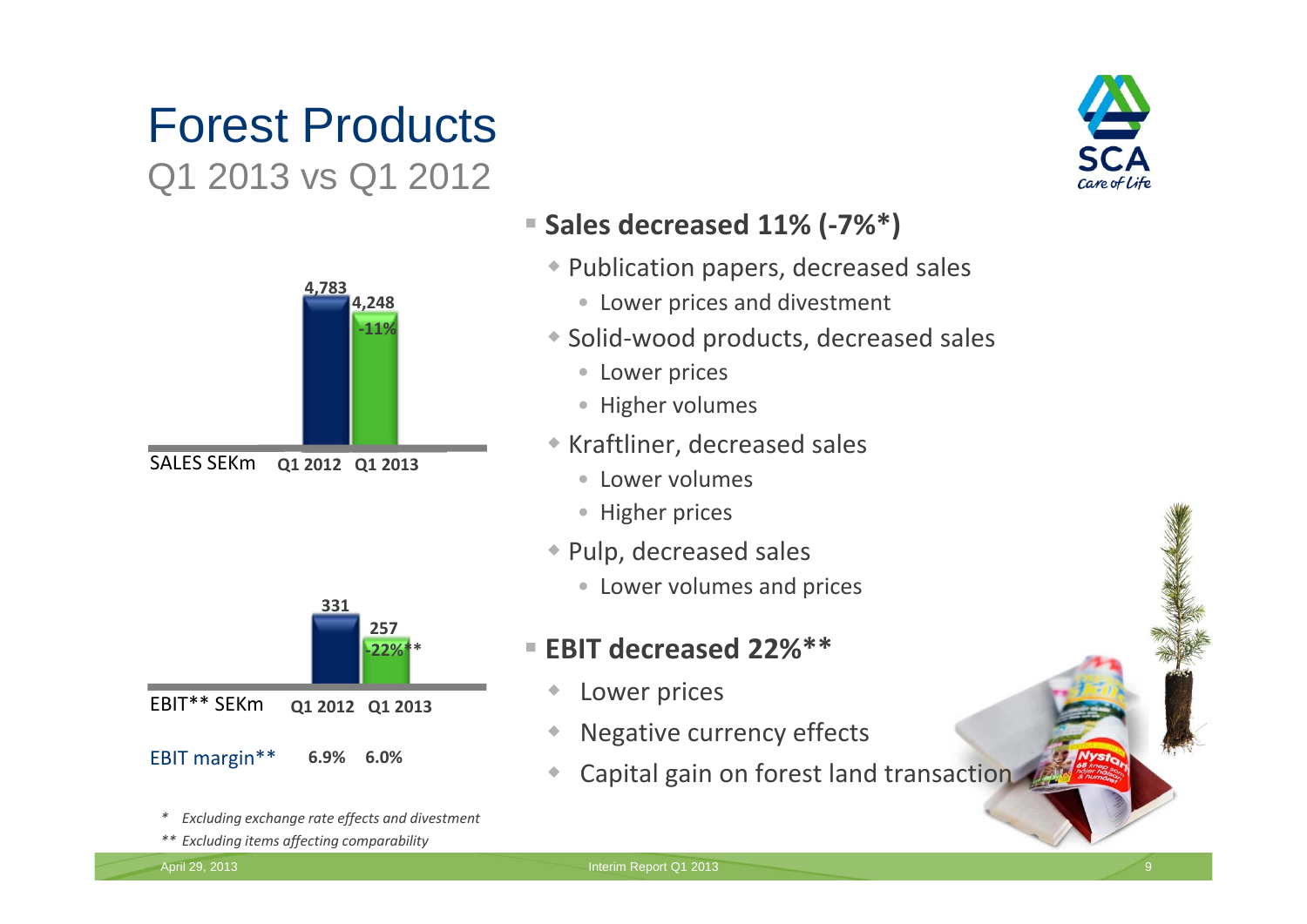### Forest ProductsQ1 2013 vs Q1 2012



SALES SEKm**Q1 2012 Q1 2013**

# **Sales decreased 11% (‐7%\*)**

- Publication papers, decreased sales
	- Lower prices and divestment
- ◆ Solid-wood products, decreased sales
	- Lower prices
	- Higher volumes
- Kraftliner, decreased sales
	- Lower volumes
	- Higher prices
- Pulp, decreased sales
	- Lower volumes and prices

#### **EBIT decreased 22%\*\***

- ۰ Lower prices
- $\ddot{\phantom{0}}$ Negative currency effects
- $\ddot{\bullet}$ Capital gain on forest land transaction



*\* Excluding exchange rate effects and divestment*

*\*\* Excluding items affecting comparability*

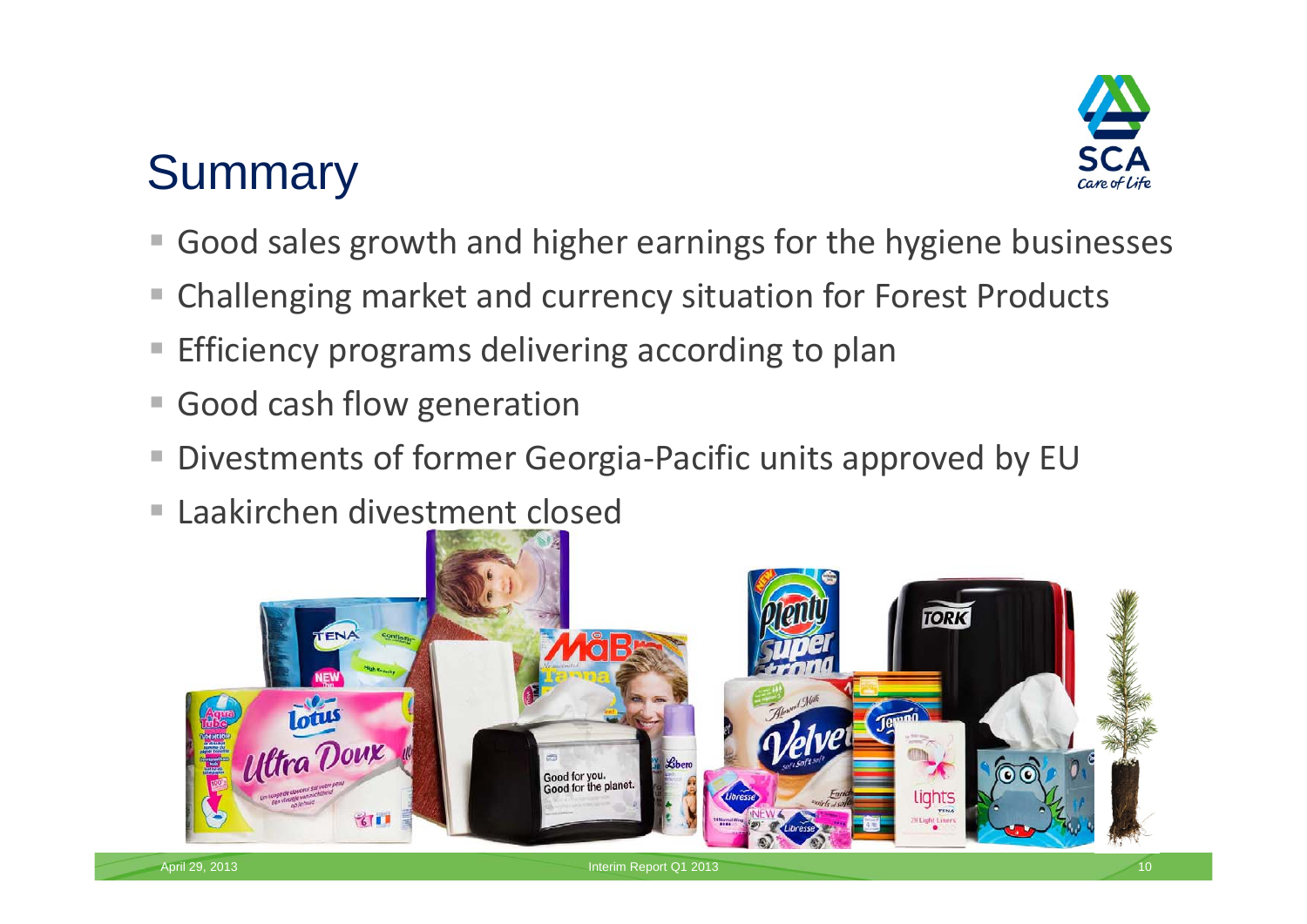

## **Summary**

- Good sales growth and higher earnings for the hygiene businesses
- Challenging market and currency situation for Forest Products
- Efficiency programs delivering according to plan
- Good cash flow generation
- Divestments of former Georgia‐Pacific units approved by EU
- $\overline{\phantom{a}}$ Laakirchen divestment closed

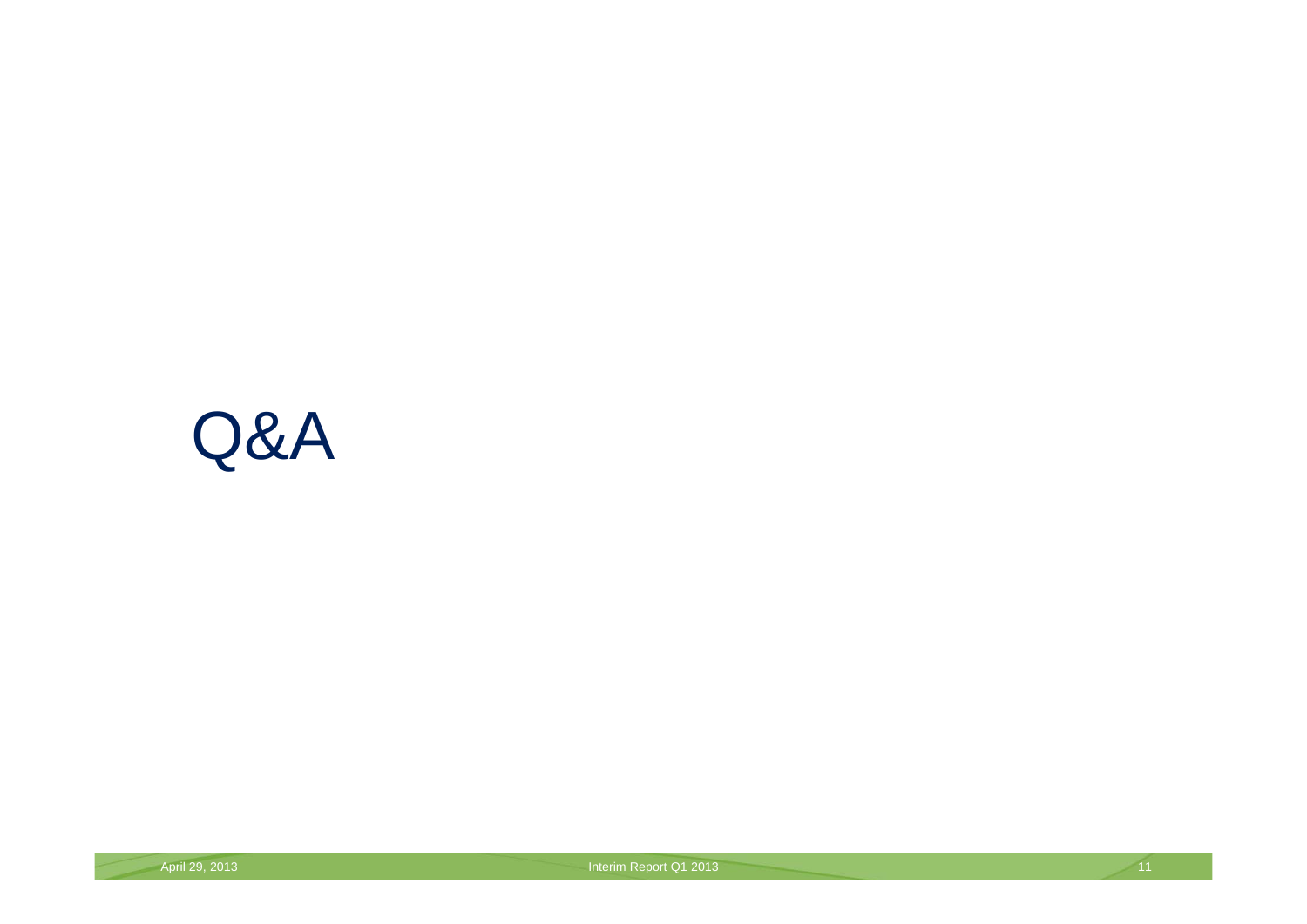## Q&A